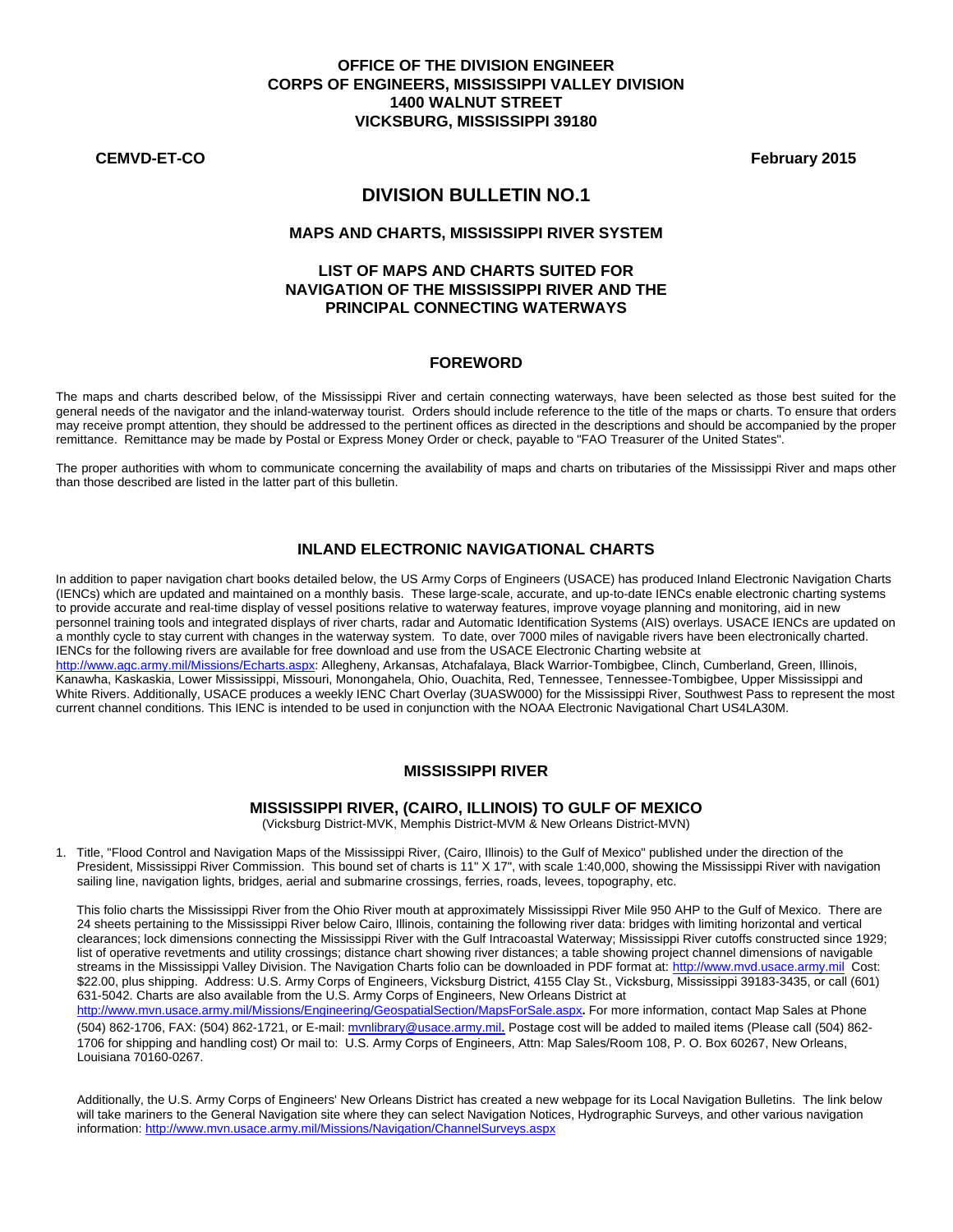### **OFFICE OF THE DIVISION ENGINEER CORPS OF ENGINEERS, MISSISSIPPI VALLEY DIVISION 1400 WALNUT STREET VICKSBURG, MISSISSIPPI 39180**

**CEMVD-ET-CO February 2015** 

# **DIVISION BULLETIN NO.1**

#### **MAPS AND CHARTS, MISSISSIPPI RIVER SYSTEM**

### **LIST OF MAPS AND CHARTS SUITED FOR NAVIGATION OF THE MISSISSIPPI RIVER AND THE PRINCIPAL CONNECTING WATERWAYS**

### **FOREWORD**

The maps and charts described below, of the Mississippi River and certain connecting waterways, have been selected as those best suited for the general needs of the navigator and the inland-waterway tourist. Orders should include reference to the title of the maps or charts. To ensure that orders may receive prompt attention, they should be addressed to the pertinent offices as directed in the descriptions and should be accompanied by the proper remittance. Remittance may be made by Postal or Express Money Order or check, payable to "FAO Treasurer of the United States".

The proper authorities with whom to communicate concerning the availability of maps and charts on tributaries of the Mississippi River and maps other than those described are listed in the latter part of this bulletin.

### **INLAND ELECTRONIC NAVIGATIONAL CHARTS**

 In addition to paper navigation chart books detailed below, the US Army Corps of Engineers (USACE) has produced Inland Electronic Navigation Charts (IENCs) which are updated and maintained on a monthly basis. These large-scale, accurate, and up-to-date IENCs enable electronic charting systems to provide accurate and real-time display of vessel positions relative to waterway features, improve voyage planning and monitoring, aid in new personnel training tools and integrated displays of river charts, radar and Automatic Identification Systems (AIS) overlays. USACE IENCs are updated on a monthly cycle to stay current with changes in the waterway system. To date, over 7000 miles of navigable rivers have been electronically charted. IENCs for the following rivers are available for free download and use from the USACE Electronic Charting website at http://www.agc.army.mil/Missions/Echarts.aspx: Allegheny, Arkansas, Atchafalaya, Black Warrior-Tombigbee, Clinch, Cumberland, Green, Illinois, Kanawha, Kaskaskia, Lower Mississippi, Missouri, Monongahela, Ohio, Ouachita, Red, Tennessee, Tennessee-Tombigbee, Upper Mississippi and White Rivers. Additionally, USACE produces a weekly IENC Chart Overlay (3UASW000) for the Mississippi River, Southwest Pass to represent the most current channel conditions. This IENC is intended to be used in conjunction with the NOAA Electronic Navigational Chart US4LA30M.

#### **MISSISSIPPI RIVER**

#### **MISSISSIPPI RIVER, (CAIRO, ILLINOIS) TO GULF OF MEXICO**

(Vicksburg District-MVK, Memphis District-MVM & New Orleans District-MVN)

1. Title, "Flood Control and Navigation Maps of the Mississippi River, (Cairo, Illinois) to the Gulf of Mexico" published under the direction of the President, Mississippi River Commission. This bound set of charts is 11" X 17", with scale 1:40,000, showing the Mississippi River with navigation sailing line, navigation lights, bridges, aerial and submarine crossings, ferries, roads, levees, topography, etc.

 This folio charts the Mississippi River from the Ohio River mouth at approximately Mississippi River Mile 950 AHP to the Gulf of Mexico. There are 24 sheets pertaining to the Mississippi River below Cairo, Illinois, containing the following river data: bridges with limiting horizontal and vertical clearances; lock dimensions connecting the Mississippi River with the Gulf Intracoastal Waterway; Mississippi River cutoffs constructed since 1929; list of operative revetments and utility crossings; distance chart showing river distances; a table showing project channel dimensions of navigable streams in the Mississippi Valley Division. The Navigation Charts folio can be downloaded in PDF format at: http://www.mvd.usace.army.mil Cost: \$22.00, plus shipping. Address: U.S. Army Corps of Engineers, Vicksburg District, 4155 Clay St., Vicksburg, Mississippi 39183-3435, or call (601) 631-5042. Charts are also available from the U.S. Army Corps of Engineers, New Orleans District at

http://www.mvn.usace.army.mil/Missions/Engineering/GeospatialSection/MapsForSale.aspx**.** For more information, contact Map Sales at Phone (504) 862-1706, FAX: (504) 862-1721, or E-mail: mvnlibrary@usace.army.mil. Postage cost will be added to mailed items (Please call (504) 862-1706 for shipping and handling cost) Or mail to: U.S. Army Corps of Engineers, Attn: Map Sales/Room 108, P. O. Box 60267, New Orleans, Louisiana 70160-0267.

Additionally, the U.S. Army Corps of Engineers' New Orleans District has created a new webpage for its Local Navigation Bulletins. The link below will take mariners to the General Navigation site where they can select Navigation Notices, Hydrographic Surveys, and other various navigation information: http://www.mvn.usace.army.mil/Missions/Navigation/ChannelSurveys.aspx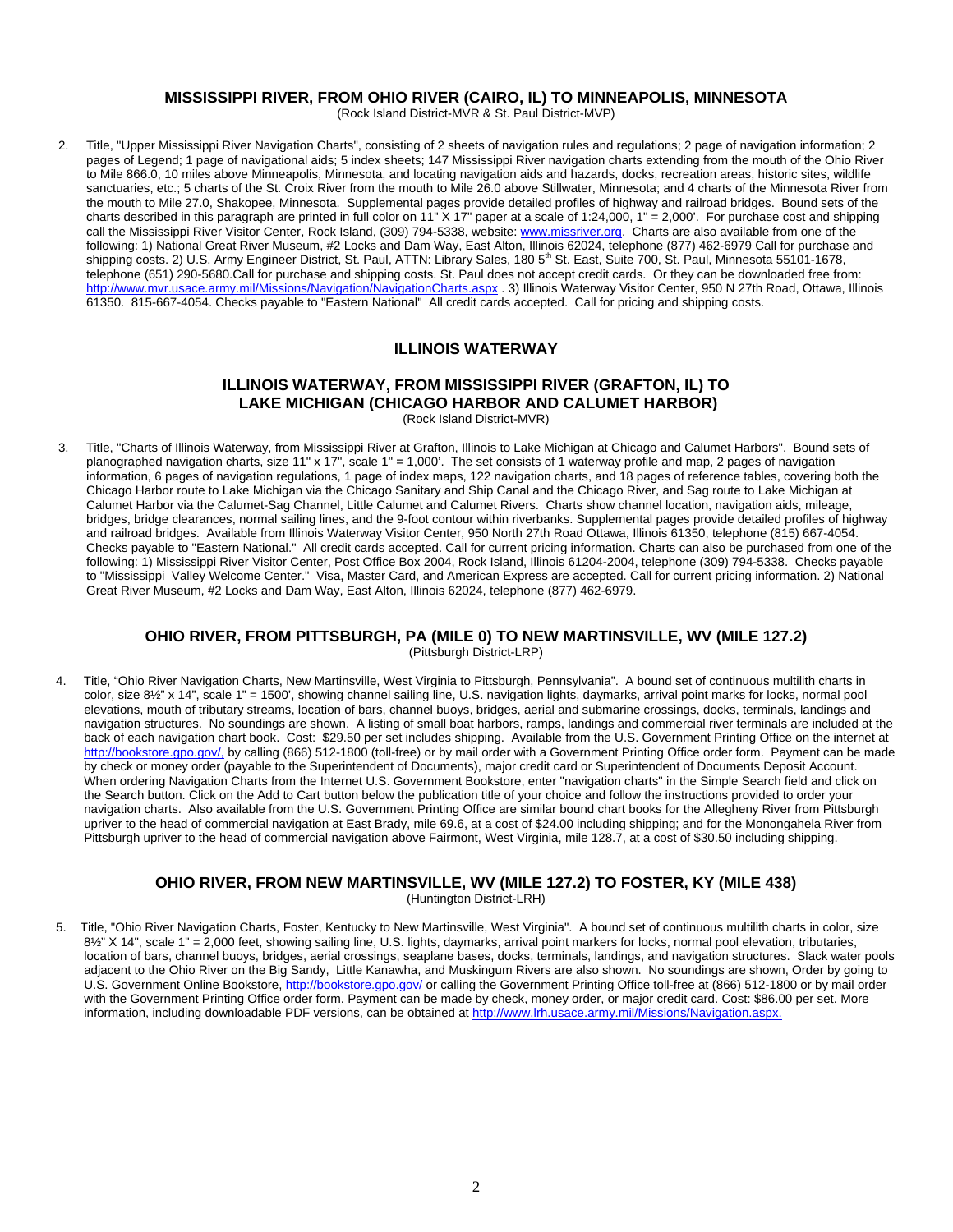# **MISSISSIPPI RIVER, FROM OHIO RIVER (CAIRO, IL) TO MINNEAPOLIS, MINNESOTA**

(Rock Island District-MVR & St. Paul District-MVP)

2. Title, "Upper Mississippi River Navigation Charts", consisting of 2 sheets of navigation rules and regulations; 2 page of navigation information; 2 pages of Legend; 1 page of navigational aids; 5 index sheets; 147 Mississippi River navigation charts extending from the mouth of the Ohio River to Mile 866.0, 10 miles above Minneapolis, Minnesota, and locating navigation aids and hazards, docks, recreation areas, historic sites, wildlife sanctuaries, etc.; 5 charts of the St. Croix River from the mouth to Mile 26.0 above Stillwater, Minnesota; and 4 charts of the Minnesota River from the mouth to Mile 27.0, Shakopee, Minnesota. Supplemental pages provide detailed profiles of highway and railroad bridges. Bound sets of the charts described in this paragraph are printed in full color on 11" X 17" paper at a scale of 1:24,000, 1" = 2,000'. For purchase cost and shipping call the Mississippi River Visitor Center, Rock Island, (309) 794-5338, website: www.missriver.org. Charts are also available from one of the following: 1) National Great River Museum, #2 Locks and Dam Way, East Alton, Illinois 62024, telephone (877) 462-6979 Call for purchase and shipping costs. 2) U.S. Army Engineer District, St. Paul, ATTN: Library Sales, 180 5<sup>th</sup> St. East, Suite 700, St. Paul, Minnesota 55101-1678, telephone (651) 290-5680.Call for purchase and shipping costs. St. Paul does not accept credit cards. Or they can be downloaded free from: http://www.mvr.usace.army.mil/Missions/Navigation/NavigationCharts.aspx . 3) Illinois Waterway Visitor Center, 950 N 27th Road, Ottawa, Illinois 61350. 815-667-4054. Checks payable to "Eastern National" All credit cards accepted. Call for pricing and shipping costs.

#### **ILLINOIS WATERWAY**

# **ILLINOIS WATERWAY, FROM MISSISSIPPI RIVER (GRAFTON, IL) TO LAKE MICHIGAN (CHICAGO HARBOR AND CALUMET HARBOR)**

(Rock Island District-MVR)

3. Title, "Charts of Illinois Waterway, from Mississippi River at Grafton, Illinois to Lake Michigan at Chicago and Calumet Harbors". Bound sets of planographed navigation charts, size 11" x 17", scale 1" = 1,000'. The set consists of 1 waterway profile and map, 2 pages of navigation information, 6 pages of navigation regulations, 1 page of index maps, 122 navigation charts, and 18 pages of reference tables, covering both the Chicago Harbor route to Lake Michigan via the Chicago Sanitary and Ship Canal and the Chicago River, and Sag route to Lake Michigan at Calumet Harbor via the Calumet-Sag Channel, Little Calumet and Calumet Rivers. Charts show channel location, navigation aids, mileage, bridges, bridge clearances, normal sailing lines, and the 9-foot contour within riverbanks. Supplemental pages provide detailed profiles of highway and railroad bridges. Available from Illinois Waterway Visitor Center, 950 North 27th Road Ottawa, Illinois 61350, telephone (815) 667-4054. Checks payable to "Eastern National." All credit cards accepted. Call for current pricing information. Charts can also be purchased from one of the following: 1) Mississippi River Visitor Center, Post Office Box 2004, Rock Island, Illinois 61204-2004, telephone (309) 794-5338. Checks payable to "Mississippi Valley Welcome Center." Visa, Master Card, and American Express are accepted. Call for current pricing information. 2) National Great River Museum, #2 Locks and Dam Way, East Alton, Illinois 62024, telephone (877) 462-6979.

#### **OHIO RIVER, FROM PITTSBURGH, PA (MILE 0) TO NEW MARTINSVILLE, WV (MILE 127.2)**  (Pittsburgh District-LRP)

4. Title, "Ohio River Navigation Charts, New Martinsville, West Virginia to Pittsburgh, Pennsylvania". A bound set of continuous multilith charts in color, size 8½" x 14", scale 1" = 1500', showing channel sailing line, U.S. navigation lights, daymarks, arrival point marks for locks, normal pool elevations, mouth of tributary streams, location of bars, channel buoys, bridges, aerial and submarine crossings, docks, terminals, landings and navigation structures. No soundings are shown. A listing of small boat harbors, ramps, landings and commercial river terminals are included at the back of each navigation chart book. Cost: \$29.50 per set includes shipping. Available from the U.S. Government Printing Office on the internet at http://bookstore.gpo.gov/, by calling (866) 512-1800 (toll-free) or by mail order with a Government Printing Office order form. Payment can be made by check or money order (payable to the Superintendent of Documents), major credit card or Superintendent of Documents Deposit Account. When ordering Navigation Charts from the Internet U.S. Government Bookstore, enter "navigation charts" in the Simple Search field and click on the Search button. Click on the Add to Cart button below the publication title of your choice and follow the instructions provided to order your navigation charts. Also available from the U.S. Government Printing Office are similar bound chart books for the Allegheny River from Pittsburgh upriver to the head of commercial navigation at East Brady, mile 69.6, at a cost of \$24.00 including shipping; and for the Monongahela River from Pittsburgh upriver to the head of commercial navigation above Fairmont, West Virginia, mile 128.7, at a cost of \$30.50 including shipping.

#### **OHIO RIVER, FROM NEW MARTINSVILLE, WV (MILE 127.2) TO FOSTER, KY (MILE 438)**  (Huntington District-LRH)

5. Title, "Ohio River Navigation Charts, Foster, Kentucky to New Martinsville, West Virginia". A bound set of continuous multilith charts in color, size 8½" X 14", scale 1" = 2,000 feet, showing sailing line, U.S. lights, daymarks, arrival point markers for locks, normal pool elevation, tributaries, location of bars, channel buoys, bridges, aerial crossings, seaplane bases, docks, terminals, landings, and navigation structures. Slack water pools adjacent to the Ohio River on the Big Sandy, Little Kanawha, and Muskingum Rivers are also shown. No soundings are shown, Order by going to U.S. Government Online Bookstore, http://bookstore.gpo.gov/ or calling the Government Printing Office toll-free at (866) 512-1800 or by mail order with the Government Printing Office order form. Payment can be made by check, money order, or major credit card. Cost: \$86.00 per set. More information, including downloadable PDF versions, can be obtained at http://www.lrh.usace.army.mil/Missions/Navigation.aspx.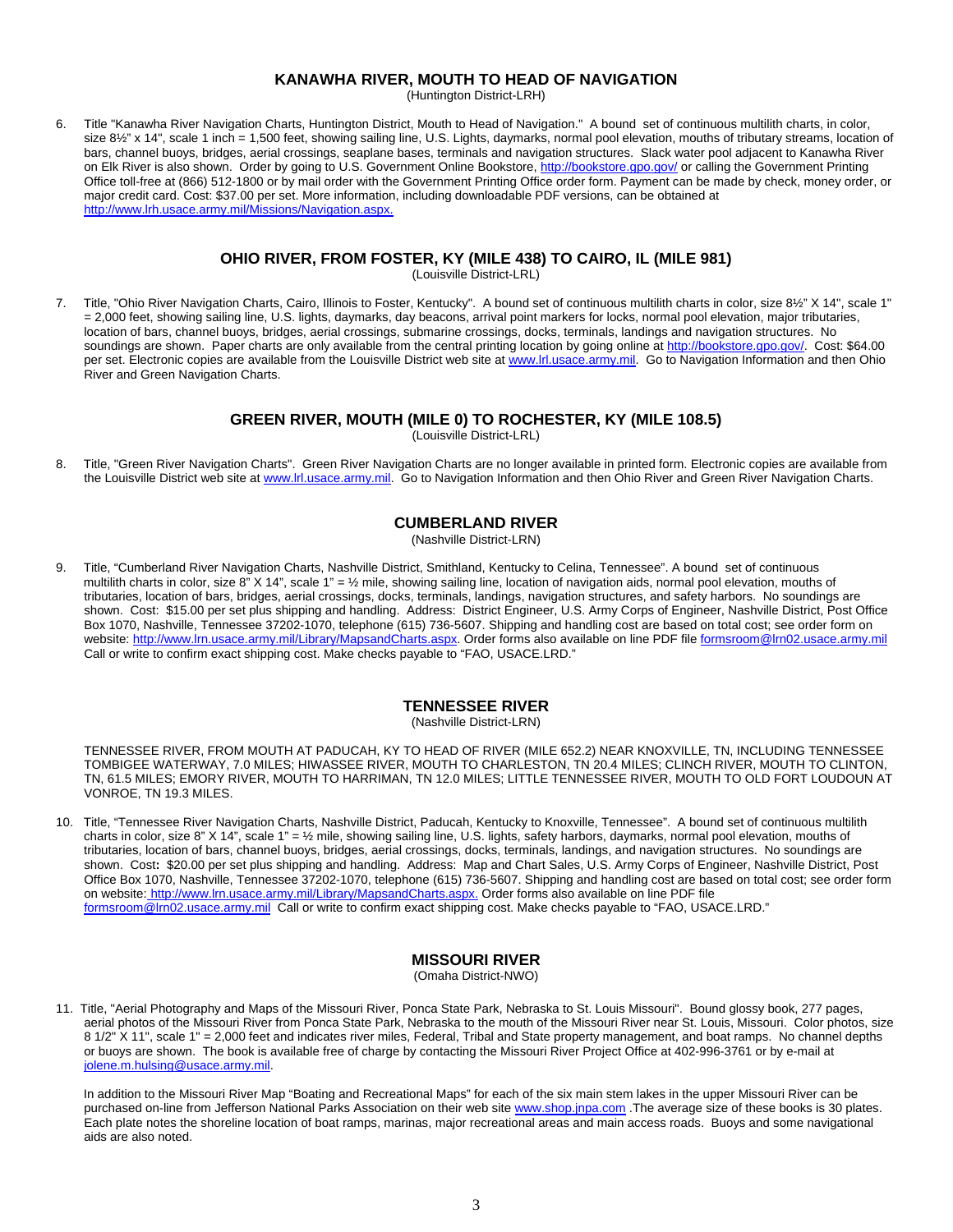### **KANAWHA RIVER, MOUTH TO HEAD OF NAVIGATION**

(Huntington District-LRH)

6. Title "Kanawha River Navigation Charts, Huntington District, Mouth to Head of Navigation." A bound set of continuous multilith charts, in color, size 81/2" x 14", scale 1 inch = 1,500 feet, showing sailing line, U.S. Lights, daymarks, normal pool elevation, mouths of tributary streams, location of bars, channel buoys, bridges, aerial crossings, seaplane bases, terminals and navigation structures. Slack water pool adjacent to Kanawha River on Elk River is also shown. Order by going to U.S. Government Online Bookstore, http://bookstore.gpo.gov/ or calling the Government Printing Office toll-free at (866) 512-1800 or by mail order with the Government Printing Office order form. Payment can be made by check, money order, or major credit card. Cost: \$37.00 per set. More information, including downloadable PDF versions, can be obtained at http://www.lrh.usace.army.mil/Missions/Navigation.aspx.

# **OHIO RIVER, FROM FOSTER, KY (MILE 438) TO CAIRO, IL (MILE 981)**

(Louisville District-LRL)

7.Title, "Ohio River Navigation Charts, Cairo, Illinois to Foster, Kentucky". A bound set of continuous multilith charts in color, size 8½" X 14", scale 1" = 2,000 feet, showing sailing line, U.S. lights, daymarks, day beacons, arrival point markers for locks, normal pool elevation, major tributaries, location of bars, channel buoys, bridges, aerial crossings, submarine crossings, docks, terminals, landings and navigation structures. No soundings are shown. Paper charts are only available from the central printing location by going online at http://bookstore.gpo.gov/. Cost: \$64.00 per set. Electronic copies are available from the Louisville District web site at www.lrl.usace.army.mil. Go to Navigation Information and then Ohio River and Green Navigation Charts.

### **GREEN RIVER, MOUTH (MILE 0) TO ROCHESTER, KY (MILE 108.5)**

(Louisville District-LRL)

8. Title, "Green River Navigation Charts". Green River Navigation Charts are no longer available in printed form. Electronic copies are available from the Louisville District web site at www.lrl.usace.army.mil. Go to Navigation Information and then Ohio River and Green River Navigation Charts.

### **CUMBERLAND RIVER**

(Nashville District-LRN)

9. Title, "Cumberland River Navigation Charts, Nashville District, Smithland, Kentucky to Celina, Tennessee". A bound set of continuous multilith charts in color, size 8" X 14", scale 1" = 1/2 mile, showing sailing line, location of navigation aids, normal pool elevation, mouths of tributaries, location of bars, bridges, aerial crossings, docks, terminals, landings, navigation structures, and safety harbors. No soundings are shown. Cost: \$15.00 per set plus shipping and handling. Address: District Engineer, U.S. Army Corps of Engineer, Nashville District, Post Office Box 1070, Nashville, Tennessee 37202-1070, telephone (615) 736-5607. Shipping and handling cost are based on total cost; see order form on website: http://www.lrn.usace.army.mil/Library/MapsandCharts.aspx. Order forms also available on line PDF file formsroom@lrn02.usace.army.mil Call or write to confirm exact shipping cost. Make checks payable to "FAO, USACE.LRD."

### **TENNESSEE RIVER**

(Nashville District-LRN)

TENNESSEE RIVER, FROM MOUTH AT PADUCAH, KY TO HEAD OF RIVER (MILE 652.2) NEAR KNOXVILLE, TN, INCLUDING TENNESSEE TOMBIGEE WATERWAY, 7.0 MILES; HIWASSEE RIVER, MOUTH TO CHARLESTON, TN 20.4 MILES; CLINCH RIVER, MOUTH TO CLINTON, TN, 61.5 MILES; EMORY RIVER, MOUTH TO HARRIMAN, TN 12.0 MILES; LITTLE TENNESSEE RIVER, MOUTH TO OLD FORT LOUDOUN AT VONROE, TN 19.3 MILES.

10. Title, "Tennessee River Navigation Charts, Nashville District, Paducah, Kentucky to Knoxville, Tennessee". A bound set of continuous multilith charts in color, size 8" X 14", scale 1" =  $\frac{1}{2}$  mile, showing sailing line, U.S. lights, safety harbors, daymarks, normal pool elevation, mouths of tributaries, location of bars, channel buoys, bridges, aerial crossings, docks, terminals, landings, and navigation structures. No soundings are shown. Cost**:** \$20.00 per set plus shipping and handling. Address: Map and Chart Sales, U.S. Army Corps of Engineer, Nashville District, Post Office Box 1070, Nashville, Tennessee 37202-1070, telephone (615) 736-5607. Shipping and handling cost are based on total cost; see order form on website: http://www.lrn.usace.army.mil/Library/MapsandCharts.aspx. Order forms also available on line PDF file formsroom@lrn02.usace.army.mil Call or write to confirm exact shipping cost. Make checks payable to "FAO, USACE.LRD."

### **MISSOURI RIVER**

(Omaha District-NWO)

11. Title, "Aerial Photography and Maps of the Missouri River, Ponca State Park, Nebraska to St. Louis Missouri". Bound glossy book, 277 pages, aerial photos of the Missouri River from Ponca State Park, Nebraska to the mouth of the Missouri River near St. Louis, Missouri. Color photos, size 8 1/2" X 11", scale 1" = 2,000 feet and indicates river miles, Federal, Tribal and State property management, and boat ramps. No channel depths or buoys are shown. The book is available free of charge by contacting the Missouri River Project Office at 402-996-3761 or by e-mail at jolene.m.hulsing@usace.army.mil.

 In addition to the Missouri River Map "Boating and Recreational Maps" for each of the six main stem lakes in the upper Missouri River can be purchased on-line from Jefferson National Parks Association on their web site www.shop.jnpa.com .The average size of these books is 30 plates. Each plate notes the shoreline location of boat ramps, marinas, major recreational areas and main access roads. Buoys and some navigational aids are also noted.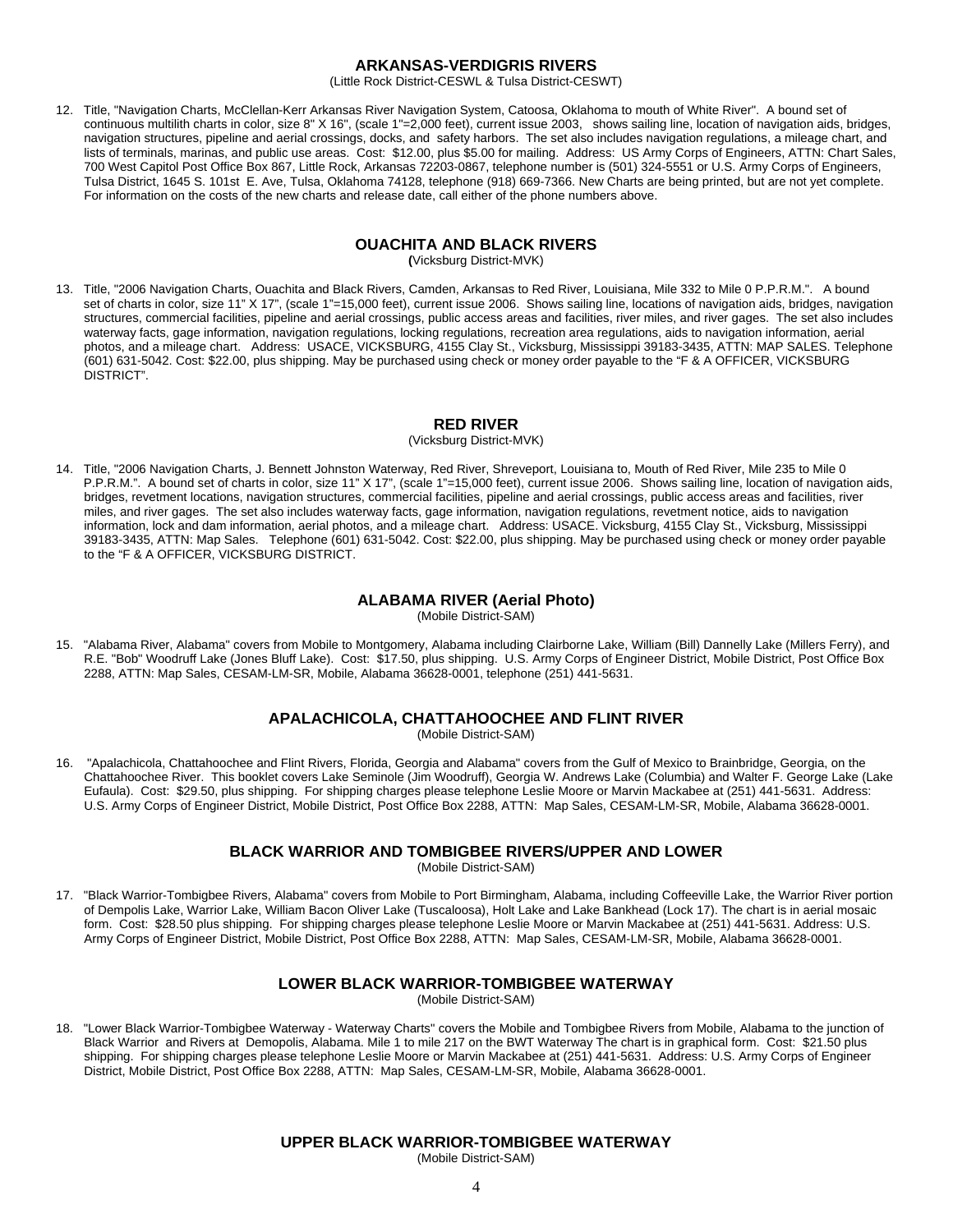#### **ARKANSAS-VERDIGRIS RIVERS**

(Little Rock District-CESWL & Tulsa District-CESWT)

12. Title, "Navigation Charts, McClellan-Kerr Arkansas River Navigation System, Catoosa, Oklahoma to mouth of White River". A bound set of continuous multilith charts in color, size 8" X 16", (scale 1"=2,000 feet), current issue 2003, shows sailing line, location of navigation aids, bridges, navigation structures, pipeline and aerial crossings, docks, and safety harbors. The set also includes navigation regulations, a mileage chart, and lists of terminals, marinas, and public use areas. Cost: \$12.00, plus \$5.00 for mailing. Address: US Army Corps of Engineers, ATTN: Chart Sales, 700 West Capitol Post Office Box 867, Little Rock, Arkansas 72203-0867, telephone number is (501) 324-5551 or U.S. Army Corps of Engineers, Tulsa District, 1645 S. 101st E. Ave, Tulsa, Oklahoma 74128, telephone (918) 669-7366. New Charts are being printed, but are not yet complete. For information on the costs of the new charts and release date, call either of the phone numbers above.

#### **OUACHITA AND BLACK RIVERS**

**(**Vicksburg District-MVK)

13. Title, "2006 Navigation Charts, Ouachita and Black Rivers, Camden, Arkansas to Red River, Louisiana, Mile 332 to Mile 0 P.P.R.M.". A bound set of charts in color, size 11" X 17", (scale 1"=15,000 feet), current issue 2006. Shows sailing line, locations of navigation aids, bridges, navigation structures, commercial facilities, pipeline and aerial crossings, public access areas and facilities, river miles, and river gages. The set also includes waterway facts, gage information, navigation regulations, locking regulations, recreation area regulations, aids to navigation information, aerial photos, and a mileage chart. Address: USACE, VICKSBURG, 4155 Clay St., Vicksburg, Mississippi 39183-3435, ATTN: MAP SALES. Telephone (601) 631-5042. Cost: \$22.00, plus shipping. May be purchased using check or money order payable to the "F & A OFFICER, VICKSBURG DISTRICT".

### **RED RIVER**

(Vicksburg District-MVK)

14. Title, "2006 Navigation Charts, J. Bennett Johnston Waterway, Red River, Shreveport, Louisiana to, Mouth of Red River, Mile 235 to Mile 0 P.P.R.M.". A bound set of charts in color, size 11" X 17", (scale 1"=15,000 feet), current issue 2006. Shows sailing line, location of navigation aids, bridges, revetment locations, navigation structures, commercial facilities, pipeline and aerial crossings, public access areas and facilities, river miles, and river gages. The set also includes waterway facts, gage information, navigation regulations, revetment notice, aids to navigation information, lock and dam information, aerial photos, and a mileage chart. Address: USACE. Vicksburg, 4155 Clay St., Vicksburg, Mississippi 39183-3435, ATTN: Map Sales. Telephone (601) 631-5042. Cost: \$22.00, plus shipping. May be purchased using check or money order payable to the "F & A OFFICER, VICKSBURG DISTRICT.

### **ALABAMA RIVER (Aerial Photo)**

(Mobile District-SAM)

15. "Alabama River, Alabama" covers from Mobile to Montgomery, Alabama including Clairborne Lake, William (Bill) Dannelly Lake (Millers Ferry), and R.E. "Bob" Woodruff Lake (Jones Bluff Lake). Cost: \$17.50, plus shipping. U.S. Army Corps of Engineer District, Mobile District, Post Office Box 2288, ATTN: Map Sales, CESAM-LM-SR, Mobile, Alabama 36628-0001, telephone (251) 441-5631.

### **APALACHICOLA, CHATTAHOOCHEE AND FLINT RIVER**

(Mobile District-SAM)

16. "Apalachicola, Chattahoochee and Flint Rivers, Florida, Georgia and Alabama" covers from the Gulf of Mexico to Brainbridge, Georgia, on the Chattahoochee River. This booklet covers Lake Seminole (Jim Woodruff), Georgia W. Andrews Lake (Columbia) and Walter F. George Lake (Lake Eufaula). Cost: \$29.50, plus shipping. For shipping charges please telephone Leslie Moore or Marvin Mackabee at (251) 441-5631. Address: U.S. Army Corps of Engineer District, Mobile District, Post Office Box 2288, ATTN: Map Sales, CESAM-LM-SR, Mobile, Alabama 36628-0001.

#### **BLACK WARRIOR AND TOMBIGBEE RIVERS/UPPER AND LOWER**

(Mobile District-SAM)

17. "Black Warrior-Tombigbee Rivers, Alabama" covers from Mobile to Port Birmingham, Alabama, including Coffeeville Lake, the Warrior River portion of Dempolis Lake, Warrior Lake, William Bacon Oliver Lake (Tuscaloosa), Holt Lake and Lake Bankhead (Lock 17). The chart is in aerial mosaic form. Cost: \$28.50 plus shipping. For shipping charges please telephone Leslie Moore or Marvin Mackabee at (251) 441-5631. Address: U.S. Army Corps of Engineer District, Mobile District, Post Office Box 2288, ATTN: Map Sales, CESAM-LM-SR, Mobile, Alabama 36628-0001.

### **LOWER BLACK WARRIOR-TOMBIGBEE WATERWAY**

(Mobile District-SAM)

18. "Lower Black Warrior-Tombigbee Waterway - Waterway Charts" covers the Mobile and Tombigbee Rivers from Mobile, Alabama to the junction of Black Warrior and Rivers at Demopolis, Alabama. Mile 1 to mile 217 on the BWT Waterway The chart is in graphical form. Cost: \$21.50 plus shipping. For shipping charges please telephone Leslie Moore or Marvin Mackabee at (251) 441-5631. Address: U.S. Army Corps of Engineer District, Mobile District, Post Office Box 2288, ATTN: Map Sales, CESAM-LM-SR, Mobile, Alabama 36628-0001.

### **UPPER BLACK WARRIOR-TOMBIGBEE WATERWAY**

(Mobile District-SAM)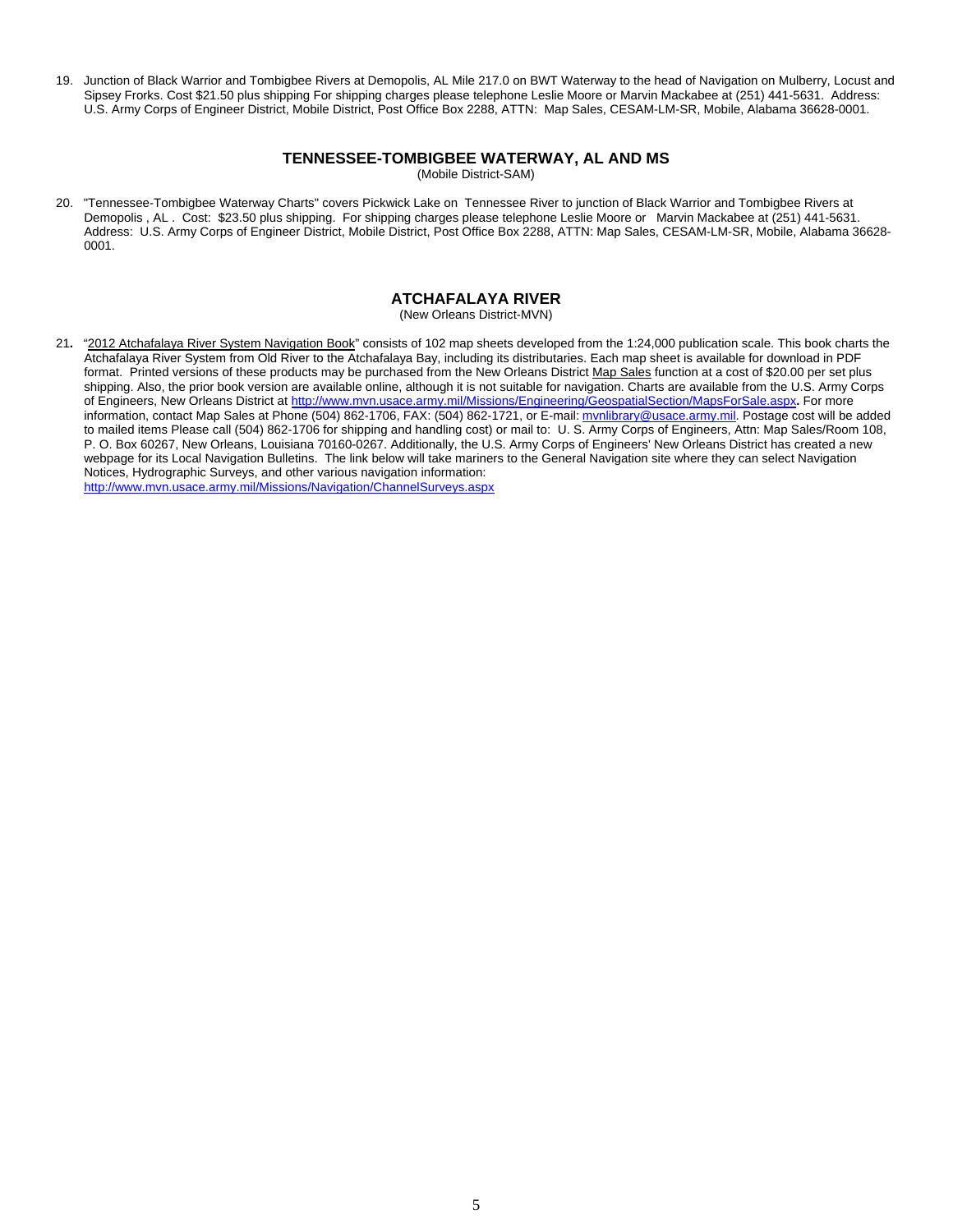19. Junction of Black Warrior and Tombigbee Rivers at Demopolis, AL Mile 217.0 on BWT Waterway to the head of Navigation on Mulberry, Locust and Sipsey Frorks. Cost \$21.50 plus shipping For shipping charges please telephone Leslie Moore or Marvin Mackabee at (251) 441-5631. Address: U.S. Army Corps of Engineer District, Mobile District, Post Office Box 2288, ATTN: Map Sales, CESAM-LM-SR, Mobile, Alabama 36628-0001.

#### **TENNESSEE-TOMBIGBEE WATERWAY, AL AND MS**

(Mobile District-SAM)

20. "Tennessee-Tombigbee Waterway Charts" covers Pickwick Lake on Tennessee River to junction of Black Warrior and Tombigbee Rivers at Demopolis , AL . Cost: \$23.50 plus shipping. For shipping charges please telephone Leslie Moore or Marvin Mackabee at (251) 441-5631. Address: U.S. Army Corps of Engineer District, Mobile District, Post Office Box 2288, ATTN: Map Sales, CESAM-LM-SR, Mobile, Alabama 36628- 0001.

### **ATCHAFALAYA RIVER**

(New Orleans District-MVN)

21**.** "2012 Atchafalaya River System Navigation Book" consists of 102 map sheets developed from the 1:24,000 publication scale. This book charts the Atchafalaya River System from Old River to the Atchafalaya Bay, including its distributaries. Each map sheet is available for download in PDF format. Printed versions of these products may be purchased from the New Orleans District Map Sales function at a cost of \$20.00 per set plus shipping. Also, the prior book version are available online, although it is not suitable for navigation. Charts are available from the U.S. Army Corps of Engineers, New Orleans District at http://www.mvn.usace.army.mil/Missions/Engineering/GeospatialSection/MapsForSale.aspx**.** For more information, contact Map Sales at Phone (504) 862-1706, FAX: (504) 862-1721, or E-mail: mynlibrary@usace.army.mil. Postage cost will be added to mailed items Please call (504) 862-1706 for shipping and handling cost) or mail to: U. S. Army Corps of Engineers, Attn: Map Sales/Room 108, P. O. Box 60267, New Orleans, Louisiana 70160-0267. Additionally, the U.S. Army Corps of Engineers' New Orleans District has created a new webpage for its Local Navigation Bulletins. The link below will take mariners to the General Navigation site where they can select Navigation Notices, Hydrographic Surveys, and other various navigation information: http://www.mvn.usace.army.mil/Missions/Navigation/ChannelSurveys.aspx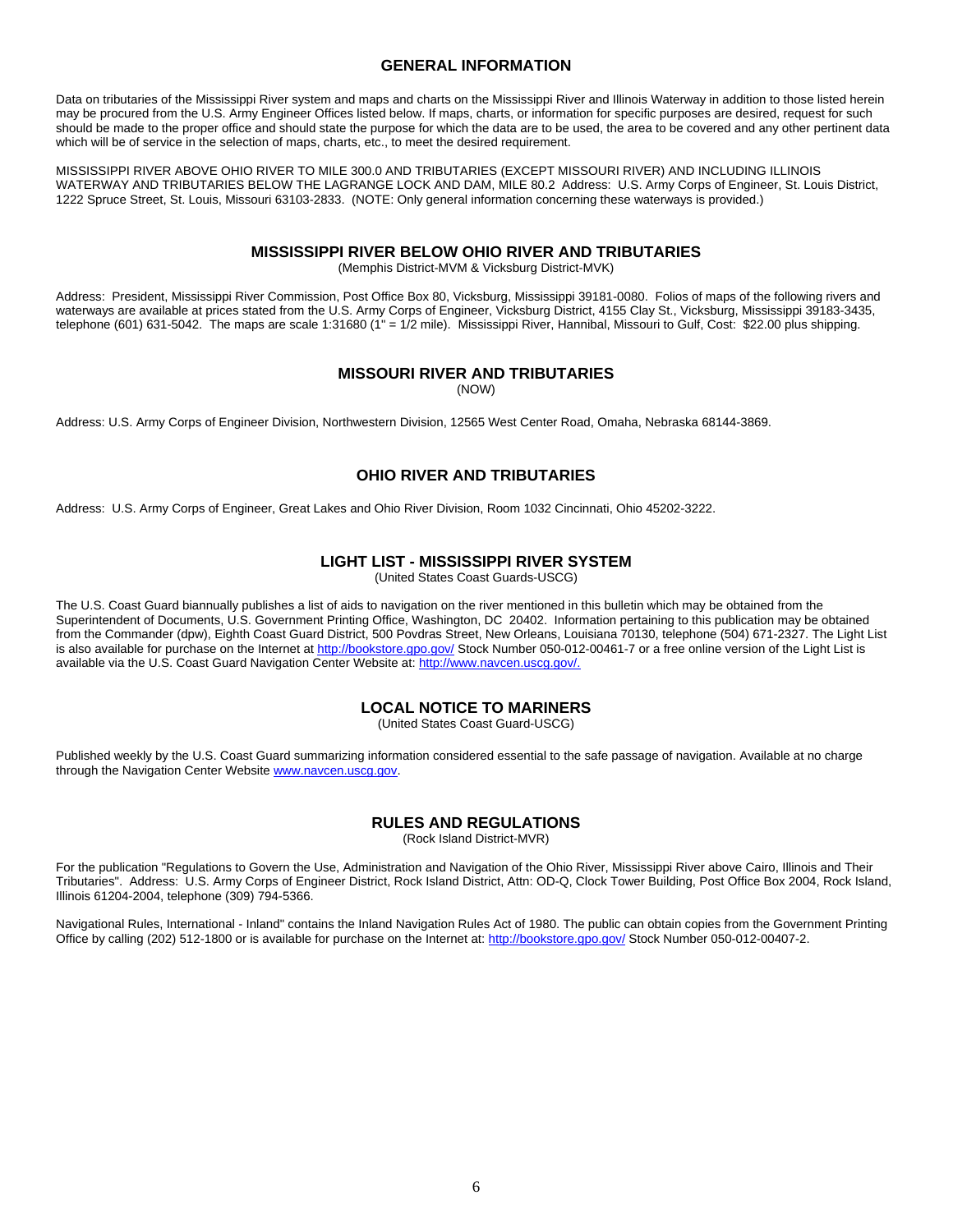#### **GENERAL INFORMATION**

Data on tributaries of the Mississippi River system and maps and charts on the Mississippi River and Illinois Waterway in addition to those listed herein may be procured from the U.S. Army Engineer Offices listed below. If maps, charts, or information for specific purposes are desired, request for such should be made to the proper office and should state the purpose for which the data are to be used, the area to be covered and any other pertinent data which will be of service in the selection of maps, charts, etc., to meet the desired requirement.

MISSISSIPPI RIVER ABOVE OHIO RIVER TO MILE 300.0 AND TRIBUTARIES (EXCEPT MISSOURI RIVER) AND INCLUDING ILLINOIS WATERWAY AND TRIBUTARIES BELOW THE LAGRANGE LOCK AND DAM, MILE 80.2 Address: U.S. Army Corps of Engineer, St. Louis District, 1222 Spruce Street, St. Louis, Missouri 63103-2833. (NOTE: Only general information concerning these waterways is provided.)

#### **MISSISSIPPI RIVER BELOW OHIO RIVER AND TRIBUTARIES**

(Memphis District-MVM & Vicksburg District-MVK)

Address: President, Mississippi River Commission, Post Office Box 80, Vicksburg, Mississippi 39181-0080. Folios of maps of the following rivers and waterways are available at prices stated from the U.S. Army Corps of Engineer, Vicksburg District, 4155 Clay St., Vicksburg, Mississippi 39183-3435, telephone (601) 631-5042. The maps are scale 1:31680 (1" = 1/2 mile). Mississippi River, Hannibal, Missouri to Gulf, Cost: \$22.00 plus shipping.

### **MISSOURI RIVER AND TRIBUTARIES**

(NOW)

Address: U.S. Army Corps of Engineer Division, Northwestern Division, 12565 West Center Road, Omaha, Nebraska 68144-3869.

# **OHIO RIVER AND TRIBUTARIES**

Address: U.S. Army Corps of Engineer, Great Lakes and Ohio River Division, Room 1032 Cincinnati, Ohio 45202-3222.

### **LIGHT LIST - MISSISSIPPI RIVER SYSTEM**

(United States Coast Guards-USCG)

The U.S. Coast Guard biannually publishes a list of aids to navigation on the river mentioned in this bulletin which may be obtained from the Superintendent of Documents, U.S. Government Printing Office, Washington, DC 20402. Information pertaining to this publication may be obtained from the Commander (dpw), Eighth Coast Guard District, 500 Povdras Street, New Orleans, Louisiana 70130, telephone (504) 671-2327. The Light List is also available for purchase on the Internet at http://bookstore.gpo.gov/ Stock Number 050-012-00461-7 or a free online version of the Light List is available via the U.S. Coast Guard Navigation Center Website at: http://www.navcen.uscg.gov/.

### **LOCAL NOTICE TO MARINERS**

(United States Coast Guard-USCG)

Published weekly by the U.S. Coast Guard summarizing information considered essential to the safe passage of navigation. Available at no charge through the Navigation Center Website www.navcen.uscg.gov.

#### **RULES AND REGULATIONS**

(Rock Island District-MVR)

For the publication "Regulations to Govern the Use, Administration and Navigation of the Ohio River, Mississippi River above Cairo, Illinois and Their Tributaries". Address: U.S. Army Corps of Engineer District, Rock Island District, Attn: OD-Q, Clock Tower Building, Post Office Box 2004, Rock Island, Illinois 61204-2004, telephone (309) 794-5366.

Navigational Rules, International - Inland" contains the Inland Navigation Rules Act of 1980. The public can obtain copies from the Government Printing Office by calling (202) 512-1800 or is available for purchase on the Internet at: http://bookstore.gpo.gov/ Stock Number 050-012-00407-2.